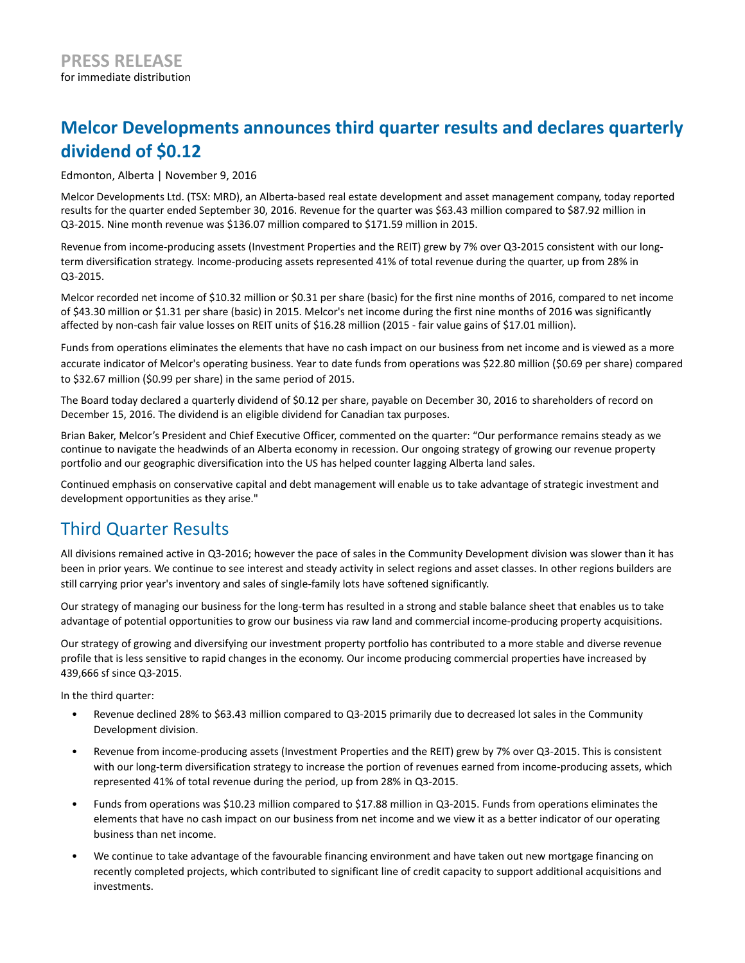# **Melcor Developments announces third quarter results and declares quarterly dividend of \$0.12**

Edmonton, Alberta | November 9, 2016

Melcor Developments Ltd. (TSX: MRD), an Alberta-based real estate development and asset management company, today reported results for the quarter ended September 30, 2016. Revenue for the quarter was \$63.43 million compared to \$87.92 million in Q3-2015. Nine month revenue was \$136.07 million compared to \$171.59 million in 2015.

Revenue from income-producing assets (Investment Properties and the REIT) grew by 7% over Q3-2015 consistent with our longterm diversification strategy. Income-producing assets represented 41% of total revenue during the quarter, up from 28% in Q3-2015.

Melcor recorded net income of \$10.32 million or \$0.31 per share (basic) for the first nine months of 2016, compared to net income of \$43.30 million or \$1.31 per share (basic) in 2015. Melcor's net income during the first nine months of 2016 was significantly affected by non-cash fair value losses on REIT units of \$16.28 million (2015 - fair value gains of \$17.01 million).

Funds from operations eliminates the elements that have no cash impact on our business from net income and is viewed as a more accurate indicator of Melcor's operating business. Year to date funds from operations was \$22.80 million (\$0.69 per share) compared to \$32.67 million (\$0.99 per share) in the same period of 2015.

The Board today declared a quarterly dividend of \$0.12 per share, payable on December 30, 2016 to shareholders of record on December 15, 2016. The dividend is an eligible dividend for Canadian tax purposes.

Brian Baker, Melcor's President and Chief Executive Officer, commented on the quarter: "Our performance remains steady as we continue to navigate the headwinds of an Alberta economy in recession. Our ongoing strategy of growing our revenue property portfolio and our geographic diversification into the US has helped counter lagging Alberta land sales.

Continued emphasis on conservative capital and debt management will enable us to take advantage of strategic investment and development opportunities as they arise."

### Third Quarter Results

All divisions remained active in Q3-2016; however the pace of sales in the Community Development division was slower than it has been in prior years. We continue to see interest and steady activity in select regions and asset classes. In other regions builders are still carrying prior year's inventory and sales of single-family lots have softened significantly.

Our strategy of managing our business for the long-term has resulted in a strong and stable balance sheet that enables us to take advantage of potential opportunities to grow our business via raw land and commercial income-producing property acquisitions.

Our strategy of growing and diversifying our investment property portfolio has contributed to a more stable and diverse revenue profile that is less sensitive to rapid changes in the economy. Our income producing commercial properties have increased by 439,666 sf since Q3-2015.

In the third quarter:

- Revenue declined 28% to \$63.43 million compared to Q3-2015 primarily due to decreased lot sales in the Community Development division.
- Revenue from income-producing assets (Investment Properties and the REIT) grew by 7% over Q3-2015. This is consistent with our long-term diversification strategy to increase the portion of revenues earned from income-producing assets, which represented 41% of total revenue during the period, up from 28% in Q3-2015.
- Funds from operations was \$10.23 million compared to \$17.88 million in Q3-2015. Funds from operations eliminates the elements that have no cash impact on our business from net income and we view it as a better indicator of our operating business than net income.
- We continue to take advantage of the favourable financing environment and have taken out new mortgage financing on recently completed projects, which contributed to significant line of credit capacity to support additional acquisitions and investments.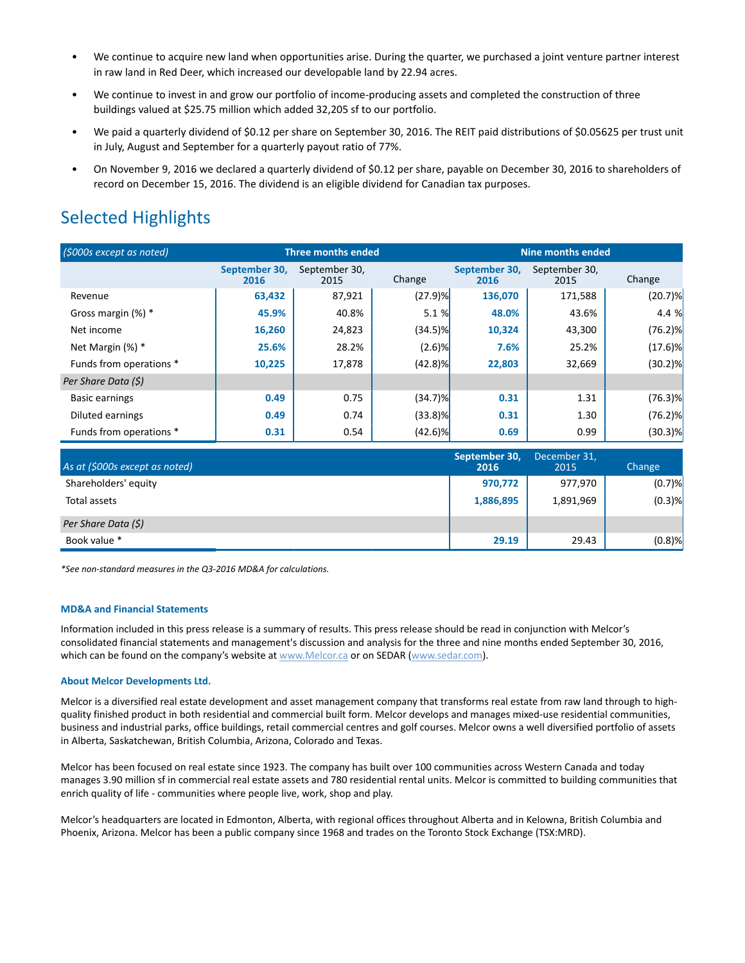- We continue to acquire new land when opportunities arise. During the quarter, we purchased a joint venture partner interest in raw land in Red Deer, which increased our developable land by 22.94 acres.
- We continue to invest in and grow our portfolio of income-producing assets and completed the construction of three buildings valued at \$25.75 million which added 32,205 sf to our portfolio.
- We paid a quarterly dividend of \$0.12 per share on September 30, 2016. The REIT paid distributions of \$0.05625 per trust unit in July, August and September for a quarterly payout ratio of 77%.
- On November 9, 2016 we declared a quarterly dividend of \$0.12 per share, payable on December 30, 2016 to shareholders of record on December 15, 2016. The dividend is an eligible dividend for Canadian tax purposes.

## Selected Highlights

| (\$000s except as noted) | <b>Three months ended</b> |                       |            | <b>Nine months ended</b> |                       |            |
|--------------------------|---------------------------|-----------------------|------------|--------------------------|-----------------------|------------|
|                          | September 30,<br>2016     | September 30,<br>2015 | Change     | September 30,<br>2016    | September 30,<br>2015 | Change     |
| Revenue                  | 63,432                    | 87,921                | $(27.9)$ % | 136,070                  | 171,588               | (20.7)%    |
| Gross margin (%) *       | 45.9%                     | 40.8%                 | 5.1%       | 48.0%                    | 43.6%                 | 4.4 %      |
| Net income               | 16,260                    | 24,823                | $(34.5)\%$ | 10,324                   | 43,300                | $(76.2)\%$ |
| Net Margin (%) *         | 25.6%                     | 28.2%                 | $(2.6)$ %  | 7.6%                     | 25.2%                 | $(17.6)$ % |
| Funds from operations *  | 10,225                    | 17,878                | $(42.8)$ % | 22,803                   | 32,669                | $(30.2)$ % |
| Per Share Data (\$)      |                           |                       |            |                          |                       |            |
| <b>Basic earnings</b>    | 0.49                      | 0.75                  | $(34.7)\%$ | 0.31                     | 1.31                  | $(76.3)$ % |
| Diluted earnings         | 0.49                      | 0.74                  | $(33.8)\%$ | 0.31                     | 1.30                  | $(76.2)\%$ |
| Funds from operations *  | 0.31                      | 0.54                  | $(42.6)$ % | 0.69                     | 0.99                  | $(30.3)$ % |

| As at (\$000s except as noted) | September 30,<br>2016 | December 31,<br>2015 | Change    |
|--------------------------------|-----------------------|----------------------|-----------|
| Shareholders' equity           | 970,772               | 977,970              | $(0.7)$ % |
| Total assets                   | 1,886,895             | 1,891,969            | $(0.3)$ % |
| Per Share Data (\$)            |                       |                      |           |
| Book value *                   | 29.19                 | 29.43                | $(0.8)$ % |

*\*See non-standard measures in the Q3-2016 MD&A for calculations.*

#### **MD&A and Financial Statements**

Information included in this press release is a summary of results. This press release should be read in conjunction with Melcor's consolidated financial statements and management's discussion and analysis for the three and nine months ended September 30, 2016, which can be found on the company's website at www.Melcor.ca or on SEDAR (www.sedar.com).

#### **About Melcor Developments Ltd.**

Melcor is a diversified real estate development and asset management company that transforms real estate from raw land through to highquality finished product in both residential and commercial built form. Melcor develops and manages mixed-use residential communities, business and industrial parks, office buildings, retail commercial centres and golf courses. Melcor owns a well diversified portfolio of assets in Alberta, Saskatchewan, British Columbia, Arizona, Colorado and Texas.

Melcor has been focused on real estate since 1923. The company has built over 100 communities across Western Canada and today manages 3.90 million sf in commercial real estate assets and 780 residential rental units. Melcor is committed to building communities that enrich quality of life - communities where people live, work, shop and play.

Melcor's headquarters are located in Edmonton, Alberta, with regional offices throughout Alberta and in Kelowna, British Columbia and Phoenix, Arizona. Melcor has been a public company since 1968 and trades on the Toronto Stock Exchange (TSX:MRD).